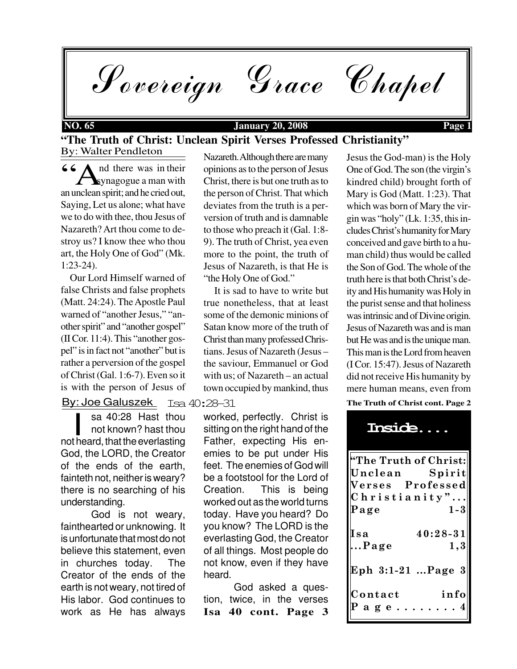Sovereign Grace Chapel

## **NO. 65 January 20, 2008 Page 1**

## By: Walter Pendleton **"The Truth of Christ: Unclean Spirit Verses Professed Christianity"**

66<br>Synagogue a man with<br>an unclean spirit; and he cried out, nd there was in their  $\sum$  synagogue a man with Saying, Let us alone; what have we to do with thee, thou Jesus of Nazareth? Art thou come to destroy us? I know thee who thou art, the Holy One of God" (Mk. 1:23-24).

 Our Lord Himself warned of false Christs and false prophets (Matt. 24:24). The Apostle Paul warned of "another Jesus," "another spirit" and "another gospel" (II Cor. 11:4). This "another gospel" is in fact not "another" but is rather a perversion of the gospel of Christ (Gal. 1:6-7). Even so it is with the person of Jesus of

By: Joe Galuszek

sa 40:28 Hast thou not known? hast thou sa 40:28 Hast thou<br>
not known? hast thou<br>
not heard, that the everlasting God, the LORD, the Creator of the ends of the earth, fainteth not, neither is weary? there is no searching of his understanding.

God is not weary, fainthearted or unknowing. It is unfortunate that most do not believe this statement, even in churches today. The Creator of the ends of the earth is not weary, not tired of His labor. God continues to work as He has always

Nazareth. Although there are many opinions as to the person of Jesus Christ, there is but one truth as to the person of Christ. That which deviates from the truth is a perversion of truth and is damnable to those who preach it (Gal. 1:8- 9). The truth of Christ, yea even more to the point, the truth of Jesus of Nazareth, is that He is "the Holy One of God."

 It is sad to have to write but true nonetheless, that at least some of the demonic minions of Satan know more of the truth of Christ than many professed Christians. Jesus of Nazareth (Jesus – the saviour, Emmanuel or God with us; of Nazareth – an actual town occupied by mankind, thus

Isa 40:28-31

worked, perfectly. Christ is sitting on the right hand of the Father, expecting His enemies to be put under His feet. The enemies of God will be a footstool for the Lord of Creation. This is being worked out as the world turns today. Have you heard? Do you know? The LORD is the everlasting God, the Creator of all things. Most people do not know, even if they have heard.

**Isa 40 cont. Page 3** God asked a question, twice, in the verses **The Truth of Christ cont. Page 2** Jesus the God-man) is the Holy One of God. The son (the virgin's kindred child) brought forth of Mary is God (Matt. 1:23). That which was born of Mary the virgin was "holy" (Lk. 1:35, this includes Christ's humanity for Mary conceived and gave birth to a human child) thus would be called the Son of God. The whole of the truth here is that both Christ's deity and His humanity was Holy in the purist sense and that holiness was intrinsic and of Divine origin. Jesus of Nazareth was and is man but He was and is the unique man. This man is the Lord from heaven (I Cor. 15:47). Jesus of Nazareth did not receive His humanity by mere human means, even from

| Inside                                       |                                                              |
|----------------------------------------------|--------------------------------------------------------------|
| Unclean<br>Christianity".<br>Page            | "The Truth of Christ:<br>Spirit<br>Verses Professed<br>$1-3$ |
| Isa<br>Page                                  | $40:28-31$<br>1,3                                            |
| Eph 3:1-21 …Page 3<br>Contact<br>$a \ g \ e$ | info                                                         |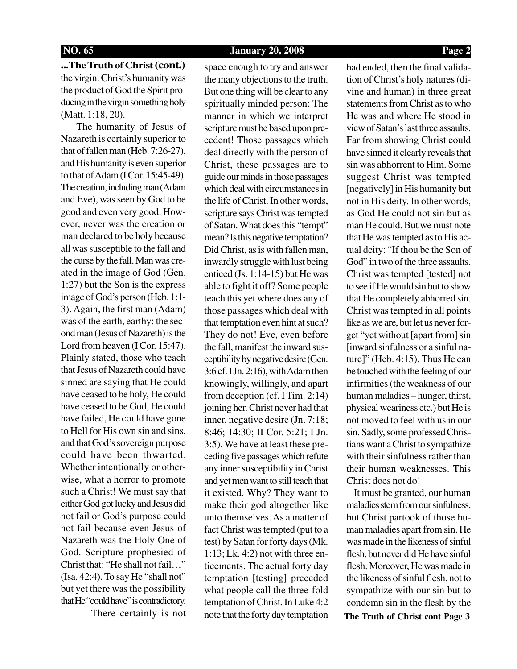## **NO. 65 January 20, 2008 Page 2**

**...The Truth of Christ (cont.)** the virgin. Christ's humanity was the product of God the Spirit producing in the virgin something holy (Matt. 1:18, 20).

 The humanity of Jesus of Nazareth is certainly superior to that of fallen man (Heb. 7:26-27), and His humanity is even superior to that of Adam (I Cor. 15:45-49). The creation, including man (Adam and Eve), was seen by God to be good and even very good. However, never was the creation or man declared to be holy because all was susceptible to the fall and the curse by the fall. Man was created in the image of God (Gen. 1:27) but the Son is the express image of God's person (Heb. 1:1- 3). Again, the first man (Adam) was of the earth, earthy: the second man (Jesus of Nazareth) is the Lord from heaven (I Cor. 15:47). Plainly stated, those who teach that Jesus of Nazareth could have sinned are saying that He could have ceased to be holy, He could have ceased to be God, He could have failed, He could have gone to Hell for His own sin and sins, and that God's sovereign purpose could have been thwarted. Whether intentionally or otherwise, what a horror to promote such a Christ! We must say that either God got lucky and Jesus did not fail or God's purpose could not fail because even Jesus of Nazareth was the Holy One of God. Scripture prophesied of Christ that: "He shall not fail…" (Isa. 42:4). To say He "shall not" but yet there was the possibility that He "could have" is contradictory.

There certainly is not

space enough to try and answer the many objections to the truth. But one thing will be clear to any spiritually minded person: The manner in which we interpret scripture must be based upon precedent! Those passages which deal directly with the person of Christ, these passages are to guide our minds in those passages which deal with circumstances in the life of Christ. In other words, scripture says Christ was tempted of Satan. What does this "tempt" mean? Is this negative temptation? Did Christ, as is with fallen man, inwardly struggle with lust being enticed (Js. 1:14-15) but He was able to fight it off? Some people teach this yet where does any of those passages which deal with that temptation even hint at such? They do not! Eve, even before the fall, manifest the inward susceptibility by negative desire (Gen. 3:6 cf. I Jn. 2:16), with Adam then knowingly, willingly, and apart from deception (cf. I Tim. 2:14) joining her. Christ never had that inner, negative desire (Jn. 7:18; 8:46; 14:30; II Cor. 5:21; I Jn. 3:5). We have at least these preceding five passages which refute any inner susceptibility in Christ and yet men want to still teach that it existed. Why? They want to make their god altogether like unto themselves. As a matter of fact Christ was tempted (put to a test) by Satan for forty days (Mk. 1:13; Lk. 4:2) not with three enticements. The actual forty day temptation [testing] preceded what people call the three-fold temptation of Christ. In Luke 4:2 note that the forty day temptation had ended, then the final validation of Christ's holy natures (divine and human) in three great statements from Christ as to who He was and where He stood in view of Satan's last three assaults. Far from showing Christ could have sinned it clearly reveals that sin was abhorrent to Him. Some suggest Christ was tempted [negatively] in His humanity but not in His deity. In other words, as God He could not sin but as man He could. But we must note that He was tempted as to His actual deity: "If thou be the Son of God" in two of the three assaults. Christ was tempted [tested] not to see if He would sin but to show that He completely abhorred sin. Christ was tempted in all points like as we are, but let us never forget "yet without [apart from] sin [inward sinfulness or a sinful nature]" (Heb. 4:15). Thus He can be touched with the feeling of our infirmities (the weakness of our human maladies – hunger, thirst, physical weariness etc.) but He is not moved to feel with us in our sin. Sadly, some professed Christians want a Christ to sympathize with their sinfulness rather than their human weaknesses. This Christ does not do!

 It must be granted, our human maladies stem from our sinfulness, but Christ partook of those human maladies apart from sin. He was made in the likeness of sinful flesh, but never did He have sinful flesh. Moreover, He was made in the likeness of sinful flesh, not to sympathize with our sin but to condemn sin in the flesh by the

**The Truth of Christ cont Page 3**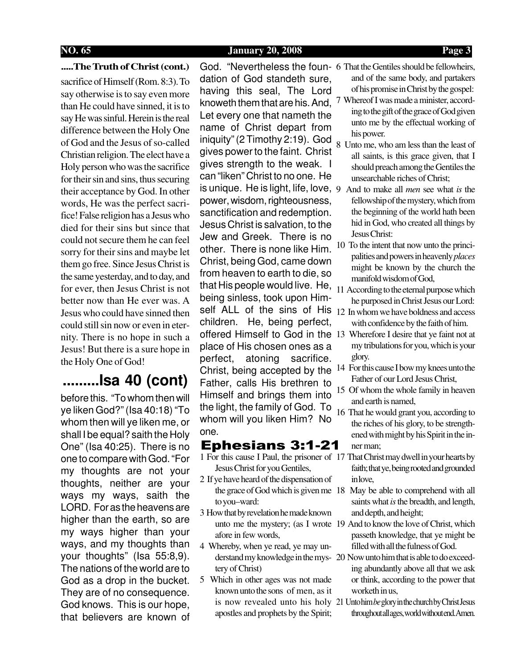## **NO. 65 January 20, 2008 Page 3**

## **.....The Truth of Christ (cont.)**

sacrifice of Himself (Rom. 8:3). To say otherwise is to say even more than He could have sinned, it is to say He was sinful. Herein is the real difference between the Holy One of God and the Jesus of so-called Christian religion. The elect have a Holy person who was the sacrifice for their sin and sins, thus securing their acceptance by God. In other words, He was the perfect sacrifice! False religion has a Jesus who died for their sins but since that could not secure them he can feel sorry for their sins and maybe let them go free. Since Jesus Christ is the same yesterday, and to day, and for ever, then Jesus Christ is not better now than He ever was. A Jesus who could have sinned then could still sin now or even in eternity. There is no hope in such a Jesus! But there is a sure hope in the Holy One of God!

# **.........Isa 40 (cont)**

before this. "To whom then will ye liken God?" (Isa 40:18) "To whom then will ye liken me, or shall I be equal? saith the Holy One" (Isa 40:25). There is no one to compare with God. "For my thoughts are not your thoughts, neither are your ways my ways, saith the LORD. For as the heavens are higher than the earth, so are my ways higher than your ways, and my thoughts than your thoughts" (Isa 55:8,9). The nations of the world are to God as a drop in the bucket. They are of no consequence. God knows. This is our hope, that believers are known of

God. "Nevertheless the foun-6 That the Gentiles should be fellowheirs, dation of God standeth sure, having this seal, The Lord knoweth them that are his. And, <sup>7</sup> Whereof I was made a minister, accord-Let every one that nameth the name of Christ depart from iniquity" (2 Timothy 2:19). God gives power to the faint. Christ gives strength to the weak. I can "liken" Christ to no one. He is unique. He is light, life, love, 9 And to make all *men* see what *is* the power, wisdom, righteousness, sanctification and redemption. Jesus Christ is salvation, to the Jew and Greek. There is no other. There is none like Him. Christ, being God, came down from heaven to earth to die, so that His people would live. He, 11 According to the eternal purpose which being sinless, took upon Himself ALL of the sins of His  $12 \text{ In whom we have boldness and access}$ children. He, being perfect, offered Himself to God in the 13 Wherefore I desire that ye faint not at place of His chosen ones as a perfect, atoning sacrifice. Christ, being accepted by the Father, calls His brethren to Himself and brings them into the light, the family of God. To whom will you liken Him? No one.

## Ephesians 3:1-21

- Jesus Christ for you Gentiles,
- 2 If ye have heard of the dispensation of to you–ward:
- 3 How that by revelation he made known afore in few words,
- 4 Whereby, when ye read, ye may untery of Christ)
- 5 Which in other ages was not made known unto the sons of men, as it apostles and prophets by the Spirit;
- and of the same body, and partakers of his promise in Christ by the gospel:
- ing to the gift of the grace of God given unto me by the effectual working of his power.
- 8 Unto me, who am less than the least of all saints, is this grace given, that I should preach among the Gentiles the unsearchable riches of Christ;
- fellowship of the mystery, which from the beginning of the world hath been hid in God, who created all things by Jesus Christ:
- 10 To the intent that now unto the principalities and powers in heavenly *places* might be known by the church the manifold wisdom of God,
- he purposed in Christ Jesus our Lord:
- with confidence by the faith of him.
- my tribulations for you, which is your glory.
- 14 For this cause I bow my knees unto the Father of our Lord Jesus Christ,
- 15 Of whom the whole family in heaven and earth is named,
- 16 That he would grant you, according to the riches of his glory, to be strengthened with might by his Spirit in the inner man;
- 1 For this cause I Paul, the prisoner of 17 That Christ may dwell in your hearts by faith; that ye, being rooted and grounded in love,
	- the grace of God which is given me 18 May be able to comprehend with all saints what *is* the breadth, and length, and depth, and height;
	- unto me the mystery; (as I wrote 19 And to know the love of Christ, which passeth knowledge, that ye might be filled with all the fulness of God.
	- derstand my knowledge in the mys-20 Now unto him that is able to do exceeding abundantly above all that we ask or think, according to the power that worketh in us,
	- is now revealed unto his holy 21 Unto him *be* glory in the church by Christ Jesus throughout all ages, world without end. Amen.